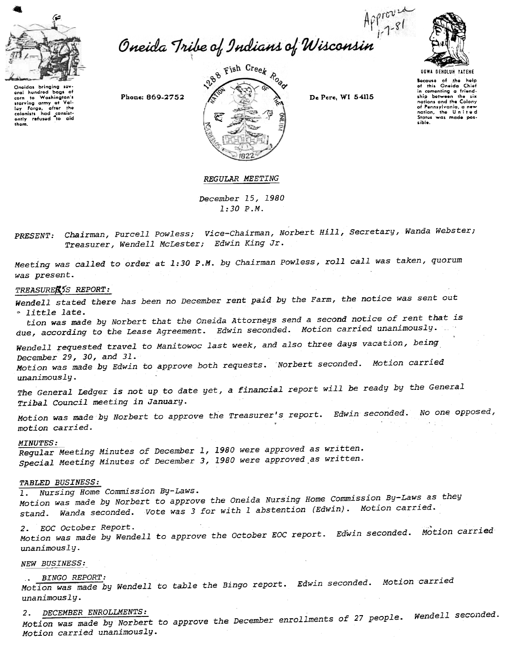

corn to Washington's<br>starving army at Val-<br>colonists had consiste<br>ently refused to aid-<br>thom.

Approved<br>Oneida Tribe of Indians of Wisconsin





Bocause of the help<br>of this Oneida Chief<br>in comenting a friend-<br>ship botween the six ship between the six<br>nations and the Colony of Pennsylvania, a new<br>nation, the United<br>States was made pos-,ibio.

## REGULAR MEETING

December 15,1980 1:30 P.M.

Chairman, Purcell Powless; Vice-Chairman, Norbert Hill, Secretary, Wanda Webste. Treasurer, Wendell McLester; Edwin King J.

Meeting was called to order at 1:30 P.M. by Chairman powless, roll call was taken, quorum was present.

### TREASUREE55 REPORT:

Wendell stated there has been no December rent paid by the Farm, the notice was sent out  $:$  little late.

tion was made by Norbert that the Oneida Attorneys send a second notice of rent that is due, according to the Lease Agreement. Edwin seconded. Motion carried unanimously.

Wendell requested travel to Manitowoc last week, and also three days vacation, being December 29,30, and 31.

Motion was made by Edwin to approve both requests. Norbert seconded. Motion carried unanimously.

The General Ledger is not up to date yet, a financial report will be ready by the General Tribal Council meeting in January.

Motion was made by Norbert to approve the Treasurer's report. Edwin seconded. No one opposed, motion carried.

#### MINUTES:

Regular Meeting Minutes of December 1, 1980 were approved as written. Special Meeting Minutes of December 3, 1980 were approved.as written.

TABLED BUSINESS:<br>1. Nursing Home Commission By-Laws.

Motion was made by Norbert to approve the Oneida Nursing Home Commission By-Laws as they stand. Wanda seconded. Vote was 3 for with 1 abstention (Edwin). Motion carried.

2. EOC October Report.<br>Motion was made by Wendell to approve the October EOC report. Edwin seconded. Motion carri unanimously.

NEW BUSINESS:

. BINGO REPORT:<br>Motion was made by Wendell to table the Bingo report. Edwin seconded. Motion carried unanimously.

2. DECEMBER ENROLLMENTS:<br>we define the Norbert to approve the December enrollments of 27 people. Wendell seconde Motion carried unanimously.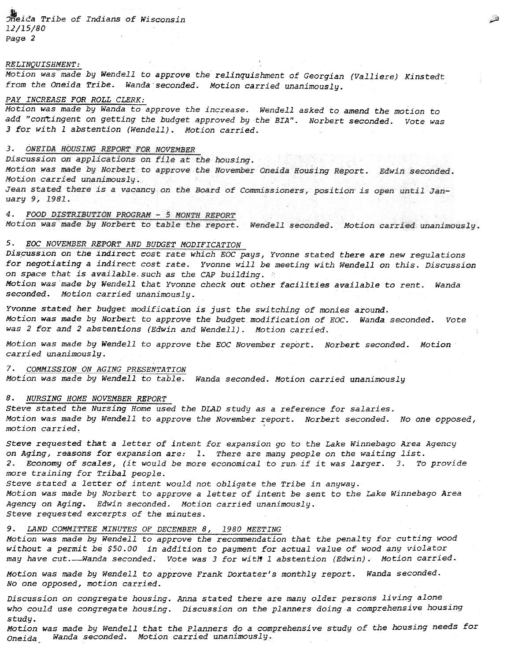$1$ . Theida Tribe of Indians of Wisconsin 12/15/80 Page 2

#### RELINQUISHMENT:

Motion was made by Wendell to approve the relinquishment of Georgian (Valliere) Kinstedt from the Oneida Tribe. Wanda seconded. Motion carried unanimously.

### PAY INCREASE FOR ROLL CLERK:

Motion was made by Wanda to approve the increase. Wendell asked to amend the motion to add "contingent on getting the budget approved by the BIA". Norbert seconded. Vote was 3 for with 1 abstention (Wendell). Motion carried.

## 3. ONEIDA HOUSING REPORT FOR NOVEMBER

Discussion on applications on file at the housing. Motion was made by Norbert to approve the November Oneida Housing Report. Edwin seconded. Motion carried unanimously. Jean stated there is a vacancy on the Board of Commissioners, position is open until January 9, 1981.

4. FOOD DISTRIBUTION PROGRAM - 5 MONTH REPORT

Motion was made by Norbert to table the report. Wendell seconded. Motion carried unanimously.

## 5. EOC NOVEMBER REPORT AND BUDGET MODIFICATION

Discussion on the indirect cost rate which EOC pays, Yvonne stated there are new regulations for negotiating a indirect cost rate. Yvonne will be meeting with Wendell on this. Discussion on space that is available such as the CAP building. Motion was made by Wendell that Yvonne check out other facilities available to rent. Wanda seconded. Motion carried unanimously.

Yvonne stated her budget modification is just the switching of monies around. Motion was made by Norbert to approve the budget modification of EOC. Wanda seconded. Vote was 2 for and 2 abstentions (Edwin and Wendell). Motion carried.

Motion was made by Wendell to approve the EOC November report. Norbert seconded. Motion carried unanimously.

7. COMMISSION ON AGING PRESENTATION Motion was made by Wendell to table. Wanda seconded. Motion carried unanimously

## 8. NURSING HOME NOVEMBER REPORT

Motion was made by Wendell to approve the November report. Norbert seconded. motion carried~ ~ No one opposed,

steve requested that a letter of intent for expansion go to the Lake Winnebago Area Agency on Aging, reasons for expansion are: 1. There are many people on the waiting list. 2. Economy of scales, (it would be more economical to run. if it was larger. 3. To provide more training for Tribal people.

Steve stated the Nursing Home used the DLAD study as a reference for salaries.<br>Motion was made by Wendell to approve the November report. Norbert seconde<br>motion carried,<br>Steve requested that a letter of intent for expansi Steve stated a letter of intent would not obligate the Tribe in anyway. Motion was made by Norbert to approve a letter of intent be sent to the Lake Winnebago Area Agency on Aging. Edwin seconded. Motion carried unanimously. Steve requested excerpts of the minutes.

### 9. LAND COMMITTEE MINUTES OF DECEMBER 8, 1980 MEETING

Motion was made by Wendell to approve the recommendation that the penalty for cutting wood without a permit be \$50.00 in addition to payment for actual value of wood any violator may have cut.-Wanda seconded. Vote was 3 for with 1 abstention (Edwin). Motion carried.

Motion was made by Wendell to approve Frank Doxtater's monthly report. Wanda seconded. No one opposed, motion carried.

Discussion on congregate housing. Anna stated there are many older persons living alone who could use congregate housing. Discussion on the planners doing a comprehensive housing

study. Motion was made by Wendell that the Planners do a comprehensive study of the housing needs for Oneida Wanda seconded. Motion carried unanimously.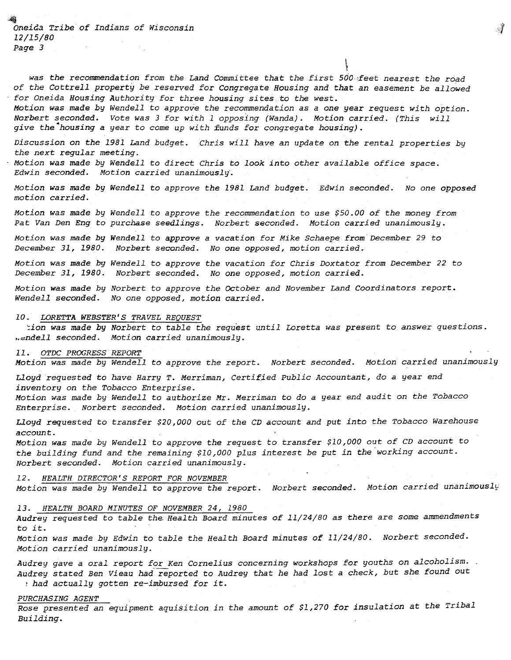$\frac{4}{3}$ Oneida Tribe of Indians of Wisconsin 12/15/80 Page 3

was the recommendation from the Land Committee that the first 500 feet nearest the road of the Cottrell property be reserved for Congregate Housing and that an easement be allowed .for Oneida Housing Authority for three housing sites to the west.

Motion was made by Wendell to approve the recommendation as a one year request with option. Norbert seconded. Vote was 3 for with 1 opposing (Wanda). Motion carried. (This will give the housing a year to come up with funds for congregate housing).

Discussion on the 1981 Land budget. Chris will have an update on the rental properties by the next regular meeting.

.Motion was made by Wendell to direct Chris to look into other available office space. Edwin seconded. Motion carried unanimously.

Motion was made by Wendell to approve the 1981 Land budget. Edwin seconded. No one opposed motion carried.

Motion was made by Wendell to approve the recommendation to use \$50.00 of the money from Pat Van Den Eng to purchase seedlings. Norbert seconded. Motion carried unanimously.

Motion was made by Wendell to approve a vacation for Mike Schaepe from December 29 to December 31,1980. Norbert seconded. No one opposed, motion carried.

Motion was made by Wendell to approve the vacation for Chris Doxtator from December 22 to December 31, 1980. Norbert seconded. No one opposed, motion carried.

Motion was made by Norbert to approve the October and November Land Coordinators report. Wendell seconded. No one opposed, motion carried.

#### LORETTA WEBSTER'S TRAVEL REQUEST

:ion was made by Norbert to table the request until Loretta was present to answer questions. .. endell seconded. Motion carried unanimously.

## OTDC PROGRESS REPORT

Motion was made by Wendell to approve the report. Norbert seconded. Motion carried unanimously

Lloyd requested to have Harry T. Merriman, Certified Public Accountant, do a year end inventory on the Tobacco Enterprise.

Motion was made by Wendell to authorize Mr. Merriman to do a year end audit on the Tobacco Enterprise. Norbert seconded. Motion carried unanimously.

Lloyd requested to transfer \$20,000 out of the CD account and put into the Tobacco Warehouse account.

Motion was made by Wendell to approve the request to transfer \$10,000 out of CD account to the building fund and the remaining \$10,000 plus interest be put in the "working account. Norbert seconded. Motion carried unanimously.

12. HEALTH DIRECTOR'S REPORT FOR NOVEMBER Motion was made by Wendell to approve the report. Norbert seconded. Motion carried unanimously

Audrey requested to table the: Health Board minutes of 11/24/80 as there are some ammendments to it.

Motion was made by Edwin to table the Health Board minutes of 11/24/80. Norbert seconded. Motion carried unanimously.

13. HEALTH BOARD MINUTES OF NOVEMBER 24, 1980<br>Audrey requested to table the Health Board m.<br>to it.<br>Motion was made by Edwin to table the Health<br>Motion carried unanimously.<br>Audrey gave a oral report for Ken Cornelius<br>Audrey Audrey gave a oral report for Ken Cornelius concerning workshops for youths on alcoholism. Audrey stated Ben Vieau had reported to Audrey that he had lost a check, but she found out ? had actually gotten re-imbursed for it.

### PURCHASING AGENT

Rose presented an equipment aquisition in the amount of \$1,270 for insulation at the Tribal

 $\mathcal{J}$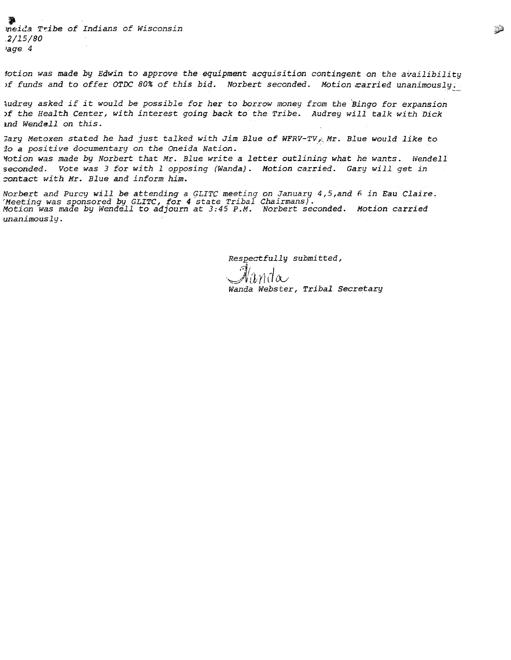*t*<br>neida Tribe of Indians of Wiscons .2/15/80 'age 4

1otion was made by Edwin to approve the equipment acquisition contingent on the availibility )f funds and to offer OTDC 80% of this bid. Norbert seconded. Motion carried unanimously.

ludrey asked if it would be possible for her to borrow money from the Bingo for expansion )f the Health Center, with interest going back to the Tribe. Audrey will talk with Dick and Wendell on this.

Gary Metoxen stated he had just talked with Jim Blue of WFRV-TV<sub>K</sub> Mr. Blue would like to 10 a positive documentary on the Oneida Nation. '1otion was made by Norbert that Mr. Blue write a letter outlining what he wants. fvende11 seconded. Vote was 3 for with 1 opposing (Wanda). Motion carried. Gary will get in contact with Mr. Blue and inform him.

Norbert and Purcy will be attending a GLITC meeting on January 4,5,and 6 in Eau Clai '-Mee.ting was sponsored by GLITC, ;for 4 state Tribal C!;1airmans). .. Motion was made by Wendell to adjourn at 3:45 P.M. Norbert seconded. Motion carried unanimously.

Respectfully submitt<br>Cl

 $\mathscr{N}\!\!\mathit{a}$ nde Wanda Webster, Tribal. Secretary

~